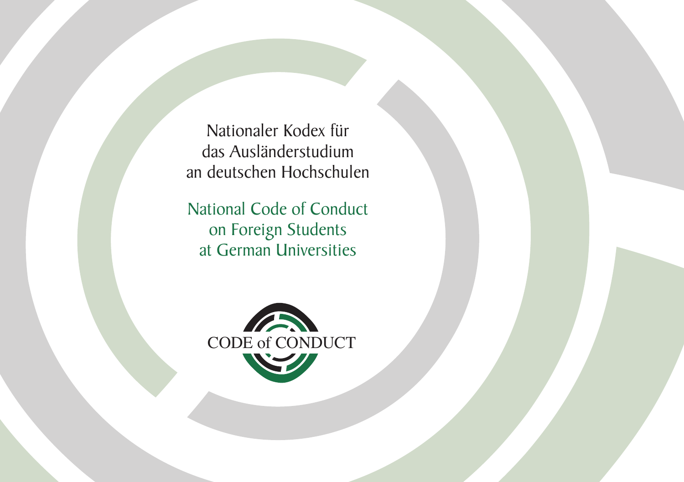Nationaler Kodex für das Ausländerstudium an deutschen Hochschulen

National Code of Conduct on Foreign Students at German Universities

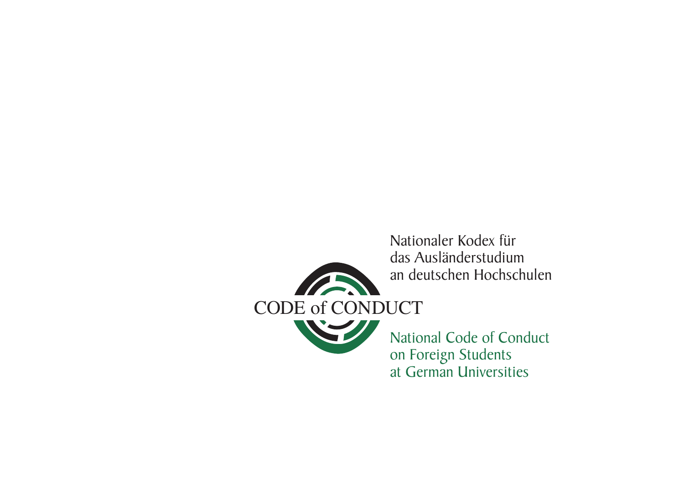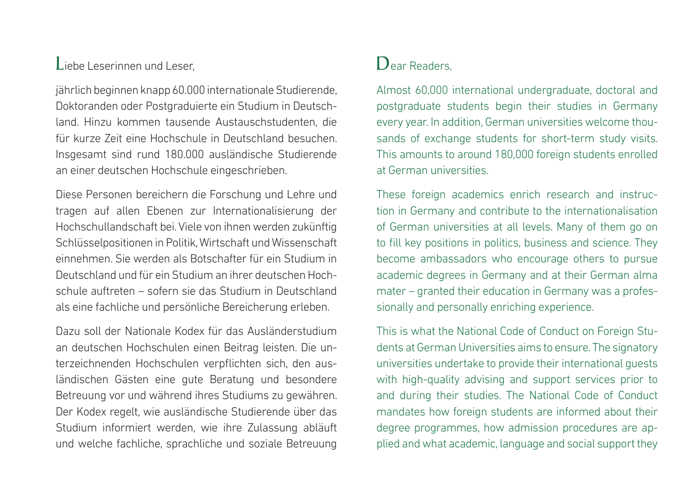#### Liebe Leserinnen und Leser,

jährlich beginnen knapp 60.000 internationale Studierende, Doktoranden oder Postgraduierte ein Studium in Deutschland. Hinzu kommen tausende Austauschstudenten, die für kurze Zeit eine Hochschule in Deutschland besuchen. Insgesamt sind rund 180.000 ausländische Studierende an einer deutschen Hochschule eingeschrieben.

Diese Personen bereichern die Forschung und Lehre und tragen auf allen Ebenen zur Internationalisierung der Hochschullandschaft bei. Viele von ihnen werden zukünftig Schlüsselpositionen in Politik, Wirtschaft und Wissenschaft einnehmen. Sie werden als Botschafter für ein Studium in Deutschland und für ein Studium an ihrer deutschen Hochschule auftreten – sofern sie das Studium in Deutschland als eine fachliche und persönliche Bereicherung erleben.

Dazu soll der Nationale Kodex für das Ausländerstudium an deutschen Hochschulen einen Beitrag leisten. Die unterzeichnenden Hochschulen verpflichten sich, den ausländischen Gästen eine gute Beratung und besondere Betreuung vor und während ihres Studiums zu gewähren. Der Kodex regelt, wie ausländische Studierende über das Studium informiert werden, wie ihre Zulassung abläuft und welche fachliche, sprachliche und soziale Betreuung

#### Dear Readers

Almost 60,000 international undergraduate, doctoral and postgraduate students begin their studies in Germany every year. In addition, German universities welcome thousands of exchange students for short-term study visits. This amounts to around 180,000 foreign students enrolled at German universities.

These foreign academics enrich research and instruction in Germany and contribute to the internationalisation of German universities at all levels. Many of them go on to fill key positions in politics, business and science. They become ambassadors who encourage others to pursue academic degrees in Germany and at their German alma mater – granted their education in Germany was a professionally and personally enriching experience.

This is what the National Code of Conduct on Foreign Students at German Universities aims to ensure. The signatory universities undertake to provide their international guests with high-quality advising and support services prior to and during their studies. The National Code of Conduct mandates how foreign students are informed about their degree programmes, how admission procedures are applied and what academic, language and social support they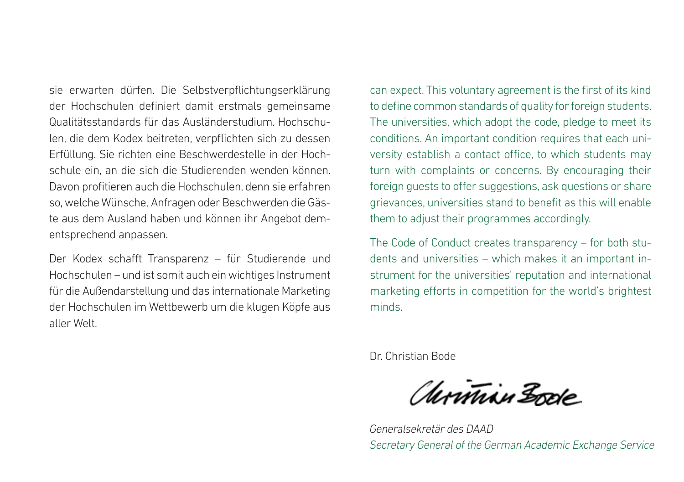sie erwarten dürfen. Die Selbstverpflichtungserklärung der Hochschulen definiert damit erstmals gemeinsame Qualitätsstandards für das Ausländerstudium. Hochschulen, die dem Kodex beitreten, verpflichten sich zu dessen Erfüllung. Sie richten eine Beschwerdestelle in der Hochschule ein, an die sich die Studierenden wenden können. Davon profitieren auch die Hochschulen, denn sie erfahren so, welche Wünsche, Anfragen oder Beschwerden die Gäste aus dem Ausland haben und können ihr Angebot dementsprechend anpassen.

Der Kodex schafft Transparenz – für Studierende und Hochschulen – und ist somit auch ein wichtiges Instrument für die Außendarstellung und das internationale Marketing der Hochschulen im Wettbewerb um die klugen Köpfe aus aller Welt.

can expect. This voluntary agreement is the first of its kind to define common standards of quality for foreign students. The universities, which adopt the code, pledge to meet its conditions. An important condition requires that each university establish a contact office, to which students may turn with complaints or concerns. By encouraging their foreign guests to offer suggestions, ask questions or share grievances, universities stand to benefit as this will enable them to adjust their programmes accordingly.

The Code of Conduct creates transparency – for both students and universities – which makes it an important instrument for the universities' reputation and international marketing efforts in competition for the world's brightest minds.

Dr. Christian Bode

Christian Bode

*Generalsekretär des DAAD Secretary General of the German Academic Exchange Service*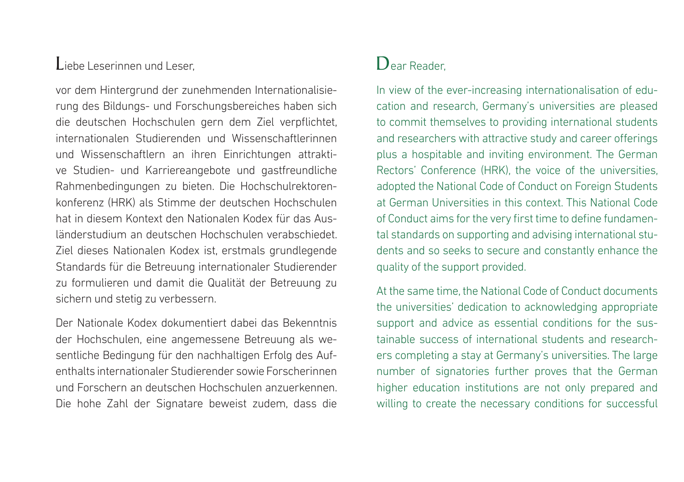#### Liebe Leserinnen und Leser,

vor dem Hintergrund der zunehmenden Internationalisierung des Bildungs- und Forschungsbereiches haben sich die deutschen Hochschulen gern dem Ziel verpflichtet, internationalen Studierenden und Wissenschaftlerinnen und Wissenschaftlern an ihren Einrichtungen attraktive Studien- und Karriereangebote und gastfreundliche Rahmenbedingungen zu bieten. Die Hochschulrektoren konferenz (HRK) als Stimme der deutschen Hochschulen hat in diesem Kontext den Nationalen Kodex für das Ausländerstudium an deutschen Hochschulen verabschiedet. Ziel dieses Nationalen Kodex ist, erstmals grundlegende Standards für die Betreuung internationaler Studierender zu formulieren und damit die Qualität der Betreuung zu sichern und stetig zu verbessern.

Der Nationale Kodex dokumentiert dabei das Bekenntnis der Hochschulen, eine angemessene Betreuung als wesentliche Bedingung für den nachhaltigen Erfolg des Aufenthalts internationaler Studierender sowie Forscherinnen und Forschern an deutschen Hochschulen anzuerkennen. Die hohe Zahl der Signatare beweist zudem, dass die

#### Dear Reader

In view of the ever-increasing internationalisation of education and research, Germany's universities are pleased to commit themselves to providing international students and researchers with attractive study and career offerings plus a hospitable and inviting environment. The German Rectors' Conference (HRK), the voice of the universities, adopted the National Code of Conduct on Foreign Students at German Universities in this context. This National Code of Conduct aims for the very first time to define fundamental standards on supporting and advising international students and so seeks to secure and constantly enhance the quality of the support provided.

At the same time, the National Code of Conduct documents the universities' dedication to acknowledging appropriate support and advice as essential conditions for the sustainable success of international students and researchers completing a stay at Germany's universities. The large number of signatories further proves that the German higher education institutions are not only prepared and willing to create the necessary conditions for successful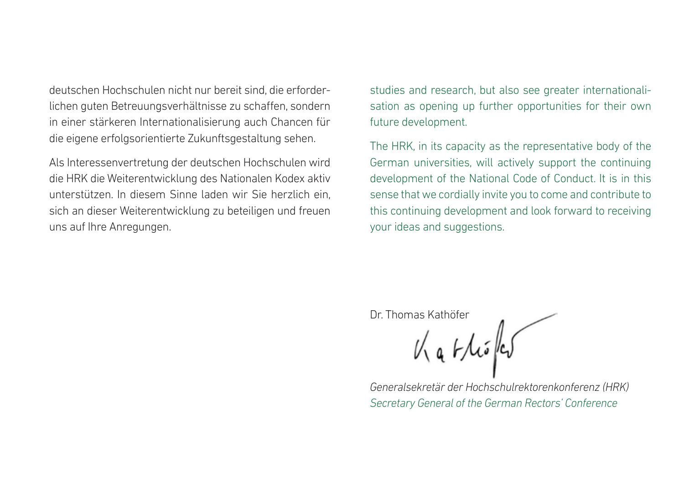deutschen Hochschulen nicht nur bereit sind, die erforderlichen guten Betreuungsverhältnisse zu schaffen, sondern in einer stärkeren Internationalisierung auch Chancen für die eigene erfolgsorientierte Zukunftsgestaltung sehen.

Als Interessenvertretung der deutschen Hochschulen wird die HRK die Weiterentwicklung des Nationalen Kodex aktiv unterstützen. In diesem Sinne laden wir Sie herzlich ein, sich an dieser Weiterentwicklung zu beteiligen und freuen uns auf Ihre Anregungen.

studies and research, but also see greater internationalisation as opening up further opportunities for their own future development.

The HRK, in its capacity as the representative body of the German universities, will actively support the continuing development of the National Code of Conduct. It is in this sense that we cordially invite you to come and contribute to this continuing development and look forward to receiving your ideas and suggestions.

Dr. Thomas Kathöfer<br> $V_{\text{A}}$   $V_{\text{A}}$   $V_{\text{A}}$   $V_{\text{A}}$ 

*Generalsekretär der Hochschulrektorenkonferenz (HRK) Secretary General of the German Rectors' Conference*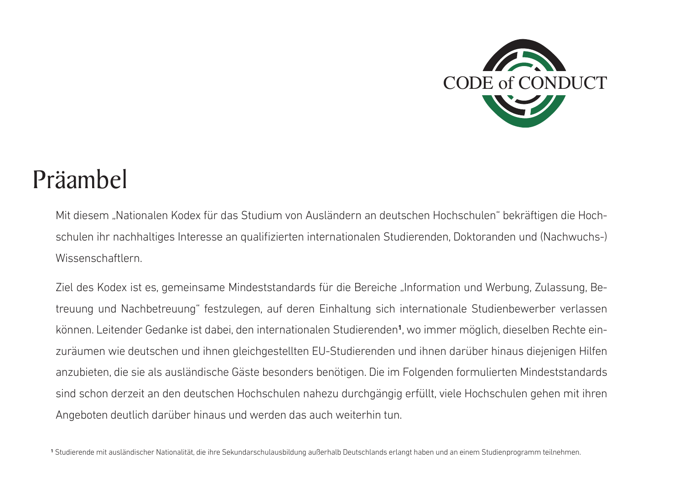

# Präambel

Mit diesem "Nationalen Kodex für das Studium von Ausländern an deutschen Hochschulen" bekräftigen die Hochschulen ihr nachhaltiges Interesse an qualifizierten internationalen Studierenden, Doktoranden und (Nachwuchs-) Wissenschaftlern.

Ziel des Kodex ist es, gemeinsame Mindeststandards für die Bereiche "Information und Werbung, Zulassung, Betreuung und Nachbetreuung" festzulegen, auf deren Einhaltung sich internationale Studienbewerber verlassen können. Leitender Gedanke ist dabei, den internationalen Studierenden**<sup>1</sup>** , wo immer möglich, dieselben Rechte einzuräumen wie deutschen und ihnen gleichgestellten EU-Studierenden und ihnen darüber hinaus diejenigen Hilfen anzubieten, die sie als ausländische Gäste besonders benötigen. Die im Folgenden formulierten Mindeststandards sind schon derzeit an den deutschen Hochschulen nahezu durchgängig erfüllt, viele Hochschulen gehen mit ihren Angeboten deutlich darüber hinaus und werden das auch weiterhin tun.

**<sup>1</sup>** Studierende mit ausländischer Nationalität, die ihre Sekundarschulausbildung außerhalb Deutschlands erlangt haben und an einem Studienprogramm teilnehmen.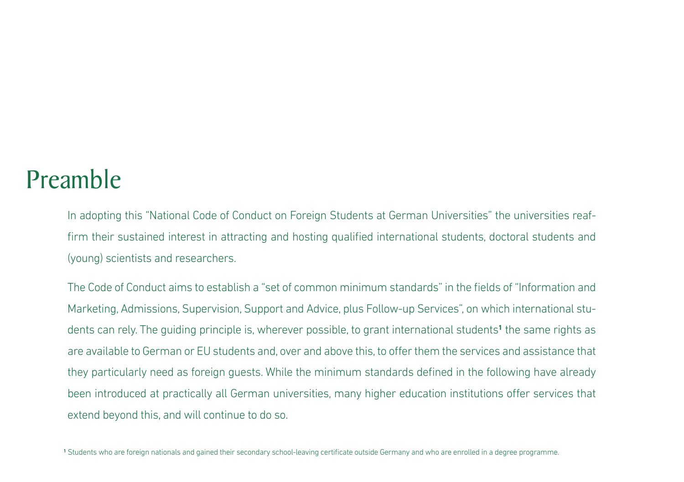# Preamble

In adopting this "National Code of Conduct on Foreign Students at German Universities" the universities reaffirm their sustained interest in attracting and hosting qualified international students, doctoral students and (young) scientists and researchers.

The Code of Conduct aims to establish a "set of common minimum standards" in the fields of "Information and Marketing, Admissions, Supervision, Support and Advice, plus Follow-up Services", on which international students can rely. The guiding principle is, wherever possible, to grant international students**<sup>1</sup>** the same rights as are available to German or EU students and, over and above this, to offer them the services and assistance that they particularly need as foreign guests. While the minimum standards defined in the following have already been introduced at practically all German universities, many higher education institutions offer services that extend beyond this, and will continue to do so.

**<sup>1</sup>** Students who are foreign nationals and gained their secondary school-leaving certificate outside Germany and who are enrolled in a degree programme.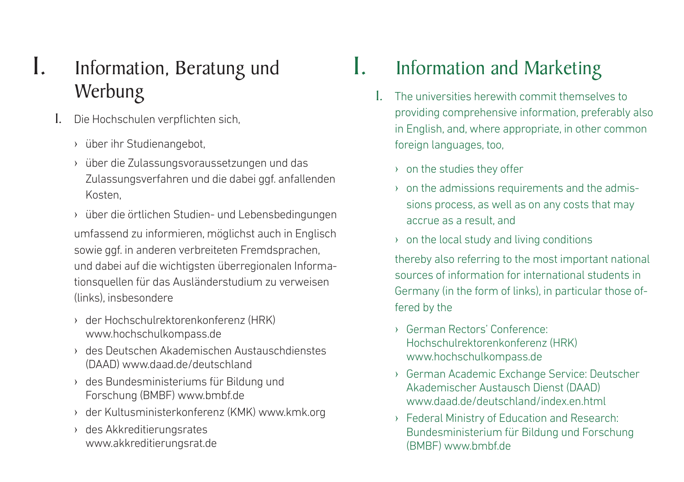## I. Information, Beratung und Werbung

- 1. Die Hochschulen verpflichten sich,
	- › über ihr Studienangebot,
	- › über die Zulassungsvoraussetzungen und das Zulassungsverfahren und die dabei ggf. anfallenden Kosten,
	- › über die örtlichen Studien- und Lebensbedingungen umfassend zu informieren, möglichst auch in Englisch sowie ggf. in anderen verbreiteten Fremdsprachen, und dabei auf die wichtigsten überregionalen Informationsquellen für das Ausländerstudium zu verweisen (links), insbesondere
	- › der Hochschulrektorenkonferenz (HRK) www.hochschulkompass.de
	- › des Deutschen Akademischen Austauschdienstes (DAAD) www.daad.de/deutschland
	- › des Bundesministeriums für Bildung und Forschung (BMBF) www.bmbf.de
	- › der Kultusministerkonferenz (KMK) www.kmk.org
	- › des Akkreditierungsrates www.akkreditierungsrat.de

# I. Information and Marketing

- 1. The universities herewith commit themselves to providing comprehensive information, preferably also in English, and, where appropriate, in other common foreign languages, too,
	- › on the studies they offer
	- $\rightarrow$  on the admissions requirements and the admissions process, as well as on any costs that may accrue as a result, and
	- › on the local study and living conditions

thereby also referring to the most important national sources of information for international students in Germany (in the form of links), in particular those offered by the

- › German Rectors' Conference: Hochschulrektorenkonferenz (HRK) www.hochschulkompass.de
- › German Academic Exchange Service: Deutscher Akademischer Austausch Dienst (DAAD) www.daad.de/deutschland/index.en.html
- › Federal Ministry of Education and Research: Bundesministerium für Bildung und Forschung (BMBF) www.bmbf.de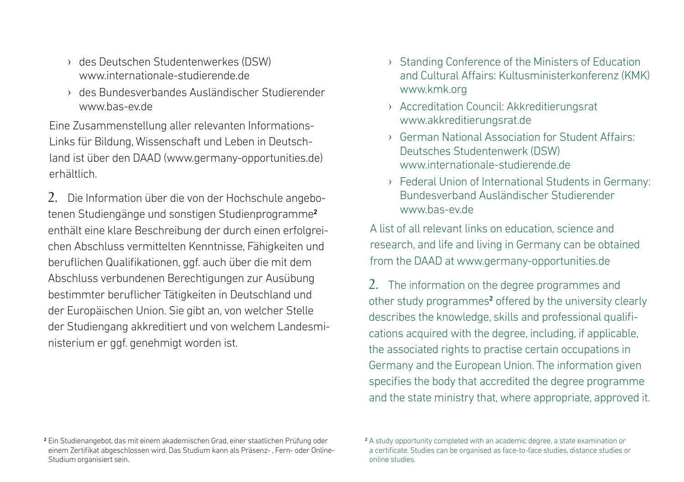- › des Deutschen Studentenwerkes (DSW) www.internationale-studierende.de
- › des Bundesverbandes Ausländischer Studierender www.bas-ev.de

Eine Zusammenstellung aller relevanten Informations-Links für Bildung, Wissenschaft und Leben in Deutschland ist über den DAAD (www.germany-opportunities.de) erhältlich.

2. Die Information über die von der Hochschule angebotenen Studiengänge und sonstigen Studienprogramme**<sup>2</sup>** enthält eine klare Beschreibung der durch einen erfolgreichen Abschluss vermittelten Kenntnisse, Fähigkeiten und beruflichen Qualifikationen, ggf. auch über die mit dem Abschluss verbundenen Berechtigungen zur Ausübung bestimmter beruflicher Tätigkeiten in Deutschland und der Europäischen Union. Sie gibt an, von welcher Stelle der Studiengang akkreditiert und von welchem Landesministerium er ggf. genehmigt worden ist.

- › Standing Conference of the Ministers of Education and Cultural Affairs: Kultusministerkonferenz (KMK) www.kmk.org
- › Accreditation Council: Akkreditierungsrat www.akkreditierungsrat.de
- › German National Association for Student Affairs: Deutsches Studentenwerk (DSW) www.internationale-studierende.de
- › Federal Union of International Students in Germany: Bundesverband Ausländischer Studierender www.bas-ev.de

A list of all relevant links on education, science and research, and life and living in Germany can be obtained from the DAAD at www.germany-opportunities.de

2. The information on the degree programmes and other study programmes**<sup>2</sup>** offered by the university clearly describes the knowledge, skills and professional qualifications acquired with the degree, including, if applicable, the associated rights to practise certain occupations in Germany and the European Union. The information given specifies the body that accredited the degree programme and the state ministry that, where appropriate, approved it.

**<sup>2</sup>** Ein Studienangebot, das mit einem akademischen Grad, einer staatlichen Prüfung oder einem Zertifikat abgeschlossen wird. Das Studium kann als Präsenz- , Fern- oder Online-Studium organisiert sein.

**<sup>2</sup>** A study opportunity completed with an academic degree, a state examination or a certificate. Studies can be organised as face-to-face studies, distance studies or online studies.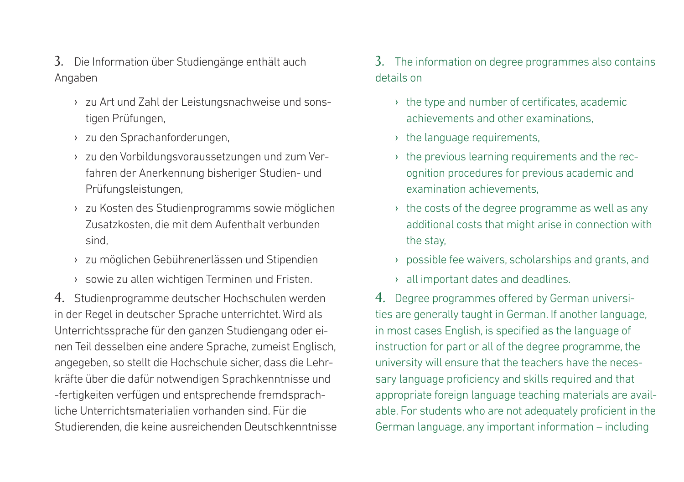3. Die Information über Studiengänge enthält auch Angaben

- › zu Art und Zahl der Leistungsnachweise und sonstigen Prüfungen,
- › zu den Sprachanforderungen,
- › zu den Vorbildungsvoraussetzungen und zum Verfahren der Anerkennung bisheriger Studien- und Prüfungsleistungen,
- › zu Kosten des Studienprogramms sowie möglichen Zusatzkosten, die mit dem Aufenthalt verbunden sind,
- › zu möglichen Gebührenerlässen und Stipendien
- › sowie zu allen wichtigen Terminen und Fristen.

4. Studienprogramme deutscher Hochschulen werden in der Regel in deutscher Sprache unterrichtet. Wird als Unterrichtssprache für den ganzen Studiengang oder einen Teil desselben eine andere Sprache, zumeist Englisch, angegeben, so stellt die Hochschule sicher, dass die Lehrkräfte über die dafür notwendigen Sprachkenntnisse und -fertigkeiten verfügen und entsprechende fremdsprachliche Unterrichtsmaterialien vorhanden sind. Für die Studierenden, die keine ausreichenden Deutschkenntnisse 3. The information on degree programmes also contains details on

- $\rightarrow$  the type and number of certificates, academic achievements and other examinations,
- › the language requirements,
- $\rightarrow$  the previous learning requirements and the recognition procedures for previous academic and examination achievements,
- $\rightarrow$  the costs of the degree programme as well as any additional costs that might arise in connection with the stay,
- › possible fee waivers, scholarships and grants, and
- › all important dates and deadlines.

4. Degree programmes offered by German universities are generally taught in German. If another language, in most cases English, is specified as the language of instruction for part or all of the degree programme, the university will ensure that the teachers have the necessary language proficiency and skills required and that appropriate foreign language teaching materials are available. For students who are not adequately proficient in the German language, any important information – including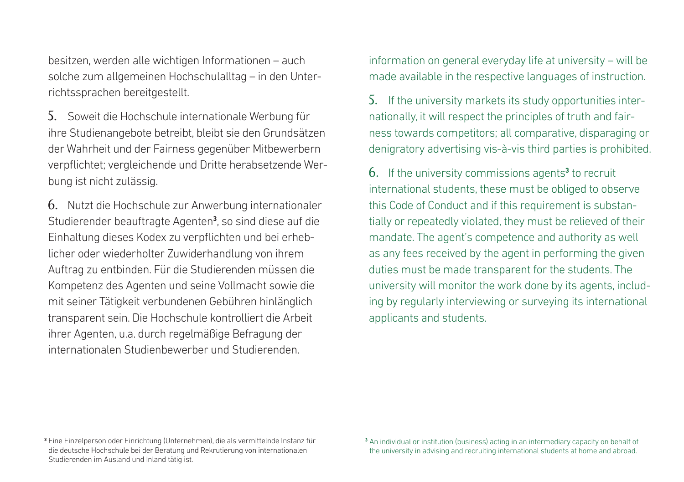besitzen, werden alle wichtigen Informationen – auch solche zum allgemeinen Hochschulalltag – in den Unterrichtssprachen bereitgestellt.

5. Soweit die Hochschule internationale Werbung für ihre Studienangebote betreibt, bleibt sie den Grundsätzen der Wahrheit und der Fairness gegenüber Mitbewerbern verpflichtet; vergleichende und Dritte herabsetzende Werbung ist nicht zulässig.

6. Nutzt die Hochschule zur Anwerbung internationaler Studierender beauftragte Agenten**<sup>3</sup>** , so sind diese auf die Einhaltung dieses Kodex zu verpflichten und bei erheblicher oder wiederholter Zuwiderhandlung von ihrem Auftrag zu entbinden. Für die Studierenden müssen die Kompetenz des Agenten und seine Vollmacht sowie die mit seiner Tätigkeit verbundenen Gebühren hinlänglich transparent sein. Die Hochschule kontrolliert die Arbeit ihrer Agenten, u.a. durch regelmäßige Befragung der internationalen Studienbewerber und Studierenden.

information on general everyday life at university – will be made available in the respective languages of instruction.

5. If the university markets its study opportunities internationally, it will respect the principles of truth and fairness towards competitors; all comparative, disparaging or denigratory advertising vis-à-vis third parties is prohibited.

6. If the university commissions agents**<sup>3</sup>** to recruit international students, these must be obliged to observe this Code of Conduct and if this requirement is substantially or repeatedly violated, they must be relieved of their mandate. The agent's competence and authority as well as any fees received by the agent in performing the given duties must be made transparent for the students. The university will monitor the work done by its agents, including by regularly interviewing or surveying its international applicants and students.

**<sup>3</sup>** Eine Einzelperson oder Einrichtung (Unternehmen), die als vermittelnde Instanz für die deutsche Hochschule bei der Beratung und Rekrutierung von internationalen Studierenden im Ausland und Inland tätig ist.

**<sup>3</sup>** An individual or institution (business) acting in an intermediary capacity on behalf of the university in advising and recruiting international students at home and abroad.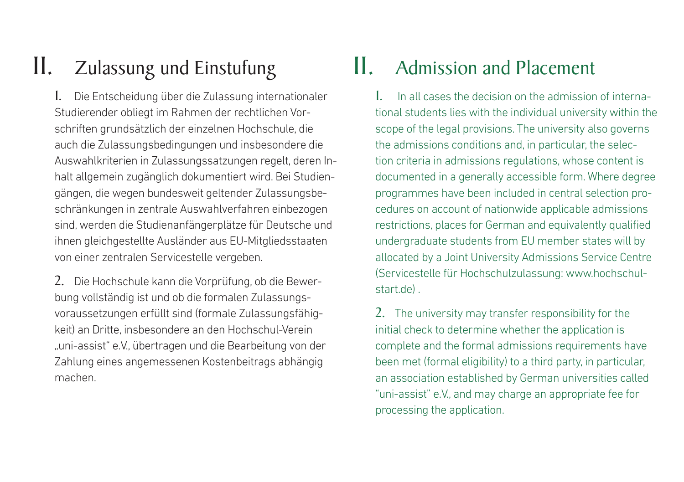# II. Zulassung und Einstufung

1. Die Entscheidung über die Zulassung internationaler Studierender obliegt im Rahmen der rechtlichen Vorschriften grundsätzlich der einzelnen Hochschule, die auch die Zulassungsbedingungen und insbesondere die Auswahlkriterien in Zulassungssatzungen regelt, deren Inhalt allgemein zugänglich dokumentiert wird. Bei Studiengängen, die wegen bundesweit geltender Zulassungsbeschränkungen in zentrale Auswahlverfahren einbezogen sind, werden die Studienanfängerplätze für Deutsche und ihnen gleichgestellte Ausländer aus EU-Mitgliedsstaaten von einer zentralen Servicestelle vergeben.

2. Die Hochschule kann die Vorprüfung, ob die Bewerbung vollständig ist und ob die formalen Zulassungsvoraussetzungen erfüllt sind (formale Zulassungsfähigkeit) an Dritte, insbesondere an den Hochschul-Verein "uni-assist" e.V., übertragen und die Bearbeitung von der Zahlung eines angemessenen Kostenbeitrags abhängig machen.

# II. Admission and Placement

1. In all cases the decision on the admission of international students lies with the individual university within the scope of the legal provisions. The university also governs the admissions conditions and, in particular, the selection criteria in admissions regulations, whose content is documented in a generally accessible form. Where degree programmes have been included in central selection procedures on account of nationwide applicable admissions restrictions, places for German and equivalently qualified undergraduate students from EU member states will by allocated by a Joint University Admissions Service Centre (Servicestelle für Hochschulzulassung: www.hochschulstart.de) .

2. The university may transfer responsibility for the initial check to determine whether the application is complete and the formal admissions requirements have been met (formal eligibility) to a third party, in particular, an association established by German universities called "uni-assist" e.V., and may charge an appropriate fee for processing the application.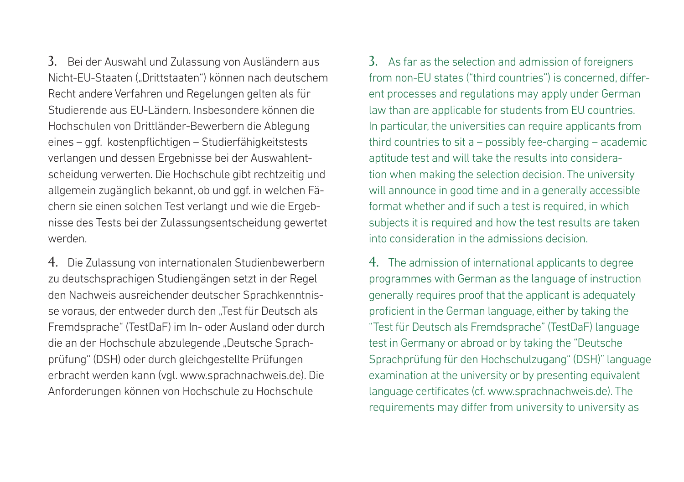3. Bei der Auswahl und Zulassung von Ausländern aus Nicht-EU-Staaten ("Drittstaaten") können nach deutschem Recht andere Verfahren und Regelungen gelten als für Studierende aus EU-Ländern. Insbesondere können die Hochschulen von Drittländer-Bewerbern die Ablegung eines – ggf. kostenpflichtigen – Studierfähigkeitstests verlangen und dessen Ergebnisse bei der Auswahlentscheidung verwerten. Die Hochschule gibt rechtzeitig und allgemein zugänglich bekannt, ob und ggf. in welchen Fächern sie einen solchen Test verlangt und wie die Ergebnisse des Tests bei der Zulassungsentscheidung gewertet werden.

4. Die Zulassung von internationalen Studienbewerbern zu deutschsprachigen Studiengängen setzt in der Regel den Nachweis ausreichender deutscher Sprachkenntnisse voraus, der entweder durch den "Test für Deutsch als Fremdsprache" (TestDaF) im In- oder Ausland oder durch die an der Hochschule abzulegende "Deutsche Sprachprüfung" (DSH) oder durch gleichgestellte Prüfungen erbracht werden kann (vgl. www.sprachnachweis.de). Die Anforderungen können von Hochschule zu Hochschule

3. As far as the selection and admission of foreigners from non-FU states ("third countries") is concerned, different processes and regulations may apply under German law than are applicable for students from EU countries. In particular, the universities can require applicants from third countries to sit a – possibly fee-charging – academic aptitude test and will take the results into consideration when making the selection decision. The university will announce in good time and in a generally accessible format whether and if such a test is required, in which subjects it is required and how the test results are taken into consideration in the admissions decision.

4. The admission of international applicants to degree programmes with German as the language of instruction generally requires proof that the applicant is adequately proficient in the German language, either by taking the "Test für Deutsch als Fremdsprache" (TestDaF) language test in Germany or abroad or by taking the "Deutsche Sprachprüfung für den Hochschulzugang" (DSH)" language examination at the university or by presenting equivalent language certificates (cf. www.sprachnachweis.de). The requirements may differ from university to university as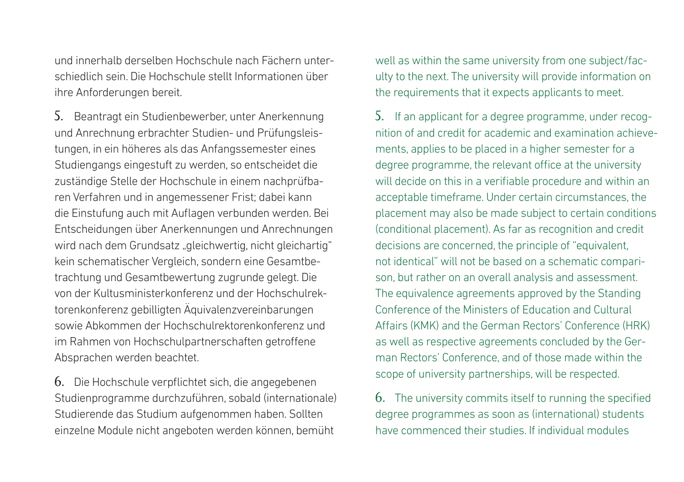und innerhalb derselben Hochschule nach Fächern unterschiedlich sein. Die Hochschule stellt Informationen über ihre Anforderungen bereit.

5. Beantragt ein Studienbewerber, unter Anerkennung und Anrechnung erbrachter Studien- und Prüfungsleistungen, in ein höheres als das Anfangssemester eines Studiengangs eingestuft zu werden, so entscheidet die zuständige Stelle der Hochschule in einem nachprüfbaren Verfahren und in angemessener Frist; dabei kann die Einstufung auch mit Auflagen verbunden werden. Bei Entscheidungen über Anerkennungen und Anrechnungen wird nach dem Grundsatz "gleichwertig, nicht gleichartig" kein schematischer Vergleich, sondern eine Gesamtbetrachtung und Gesamtbewertung zugrunde gelegt. Die von der Kultusministerkonferenz und der Hochschulrektorenkonferenz gebilligten Äquivalenzvereinbarungen sowie Abkommen der Hochschulrektorenkonferenz und im Rahmen von Hochschulpartnerschaften getroffene Absprachen werden beachtet.

6. Die Hochschule verpflichtet sich, die angegebenen Studienprogramme durchzuführen, sobald (internationale) Studierende das Studium aufgenommen haben. Sollten einzelne Module nicht angeboten werden können, bemüht

well as within the same university from one subject/faculty to the next. The university will provide information on the requirements that it expects applicants to meet.

5. If an applicant for a degree programme, under recognition of and credit for academic and examination achievements, applies to be placed in a higher semester for a degree programme, the relevant office at the university will decide on this in a verifiable procedure and within an acceptable timeframe. Under certain circumstances, the placement may also be made subject to certain conditions (conditional placement). As far as recognition and credit decisions are concerned, the principle of "equivalent, not identical" will not be based on a schematic comparison, but rather on an overall analysis and assessment. The equivalence agreements approved by the Standing Conference of the Ministers of Education and Cultural Affairs (KMK) and the German Rectors' Conference (HRK) as well as respective agreements concluded by the German Rectors' Conference, and of those made within the scope of university partnerships, will be respected.

6. The university commits itself to running the specified degree programmes as soon as (international) students have commenced their studies. If individual modules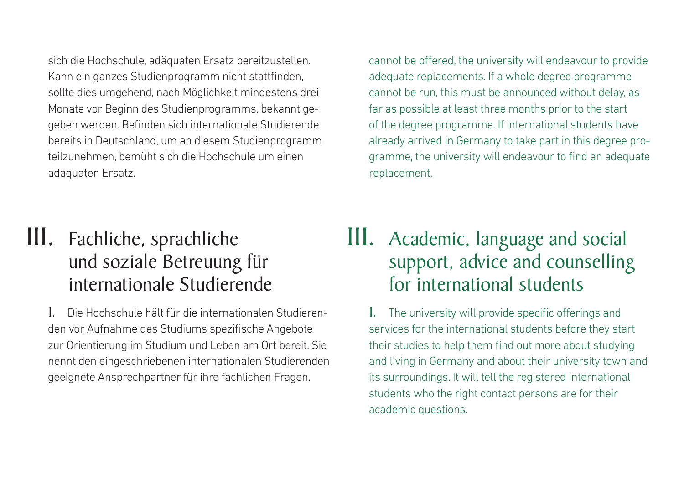sich die Hochschule, adäquaten Ersatz bereitzustellen. Kann ein ganzes Studienprogramm nicht stattfinden, sollte dies umgehend, nach Möglichkeit mindestens drei Monate vor Beginn des Studienprogramms, bekannt gegeben werden. Befinden sich internationale Studierende bereits in Deutschland, um an diesem Studienprogramm teilzunehmen, bemüht sich die Hochschule um einen adäquaten Ersatz.

## III. Fachliche, sprachliche und soziale Betreuung für internationale Studierende

1. Die Hochschule hält für die internationalen Studierenden vor Aufnahme des Studiums spezifische Angebote zur Orientierung im Studium und Leben am Ort bereit. Sie nennt den eingeschriebenen internationalen Studierenden geeignete Ansprechpartner für ihre fachlichen Fragen.

cannot be offered, the university will endeavour to provide adequate replacements. If a whole degree programme cannot be run, this must be announced without delay, as far as possible at least three months prior to the start of the degree programme. If international students have already arrived in Germany to take part in this degree programme, the university will endeavour to find an adequate replacement.

## III. Academic, language and social support, advice and counselling for international students

1. The university will provide specific offerings and services for the international students before they start their studies to help them find out more about studying and living in Germany and about their university town and its surroundings. It will tell the registered international students who the right contact persons are for their academic questions.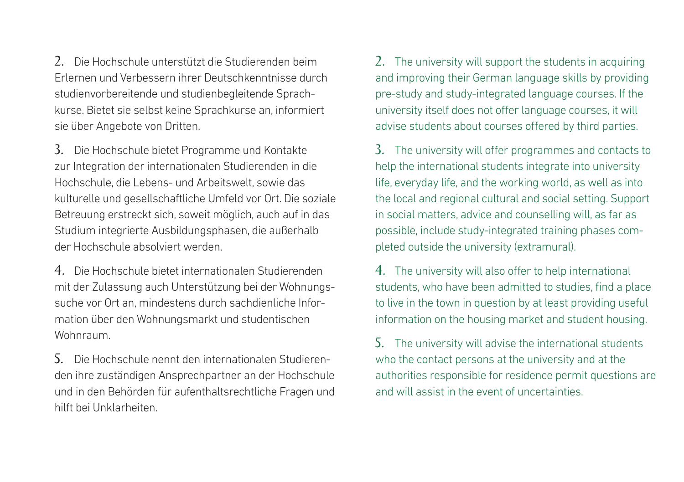2. Die Hochschule unterstützt die Studierenden beim Erlernen und Verbessern ihrer Deutschkenntnisse durch studienvorbereitende und studienbegleitende Sprachkurse. Bietet sie selbst keine Sprachkurse an, informiert sie über Angebote von Dritten.

3. Die Hochschule bietet Programme und Kontakte zur Integration der internationalen Studierenden in die Hochschule, die Lebens- und Arbeitswelt, sowie das kulturelle und gesellschaftliche Umfeld vor Ort. Die soziale Betreuung erstreckt sich, soweit möglich, auch auf in das Studium integrierte Ausbildungsphasen, die außerhalb der Hochschule absolviert werden.

4. Die Hochschule bietet internationalen Studierenden mit der Zulassung auch Unterstützung bei der Wohnungssuche vor Ort an, mindestens durch sachdienliche Information über den Wohnungsmarkt und studentischen Wohnraum.

5. Die Hochschule nennt den internationalen Studierenden ihre zuständigen Ansprechpartner an der Hochschule und in den Behörden für aufenthaltsrechtliche Fragen und hilft bei Unklarheiten.

2. The university will support the students in acquiring and improving their German language skills by providing pre-study and study-integrated language courses. If the university itself does not offer language courses, it will advise students about courses offered by third parties.

3. The university will offer programmes and contacts to help the international students integrate into university life, everyday life, and the working world, as well as into the local and regional cultural and social setting. Support in social matters, advice and counselling will, as far as possible, include study-integrated training phases completed outside the university (extramural).

4. The university will also offer to help international students, who have been admitted to studies, find a place to live in the town in question by at least providing useful information on the housing market and student housing.

5. The university will advise the international students who the contact persons at the university and at the authorities responsible for residence permit questions are and will assist in the event of uncertainties.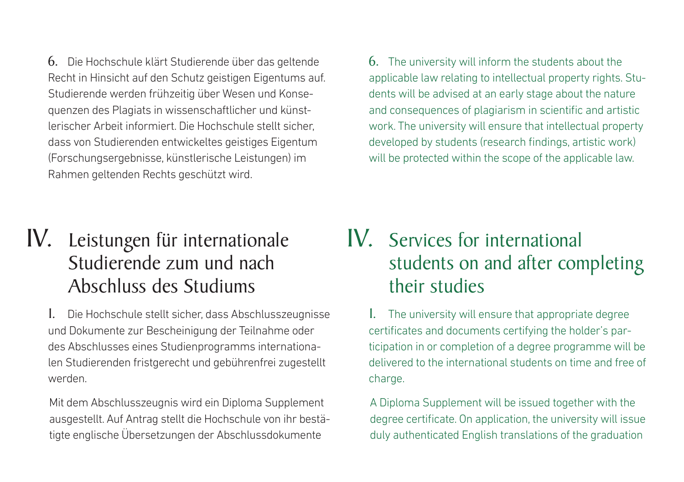6. Die Hochschule klärt Studierende über das geltende Recht in Hinsicht auf den Schutz geistigen Eigentums auf. Studierende werden frühzeitig über Wesen und Konsequenzen des Plagiats in wissenschaftlicher und künstlerischer Arbeit informiert. Die Hochschule stellt sicher, dass von Studierenden entwickeltes geistiges Eigentum (Forschungsergebnisse, künstlerische Leistungen) im Rahmen geltenden Rechts geschützt wird.

6. The university will inform the students about the applicable law relating to intellectual property rights. Students will be advised at an early stage about the nature and consequences of plagiarism in scientific and artistic work. The university will ensure that intellectual property developed by students (research findings, artistic work) will be protected within the scope of the applicable law.

## IV. Leistungen für internationale Studierende zum und nach Abschluss des Studiums

1. Die Hochschule stellt sicher, dass Abschlusszeugnisse und Dokumente zur Bescheinigung der Teilnahme oder des Abschlusses eines Studienprogramms internationalen Studierenden fristgerecht und gebührenfrei zugestellt werden.

Mit dem Abschlusszeugnis wird ein Diploma Supplement ausgestellt. Auf Antrag stellt die Hochschule von ihr bestätigte englische Übersetzungen der Abschlussdokumente

#### IV. Services for international students on and after completing their studies

1. The university will ensure that appropriate degree certificates and documents certifying the holder's participation in or completion of a degree programme will be delivered to the international students on time and free of charge.

A Diploma Supplement will be issued together with the degree certificate. On application, the university will issue duly authenticated English translations of the graduation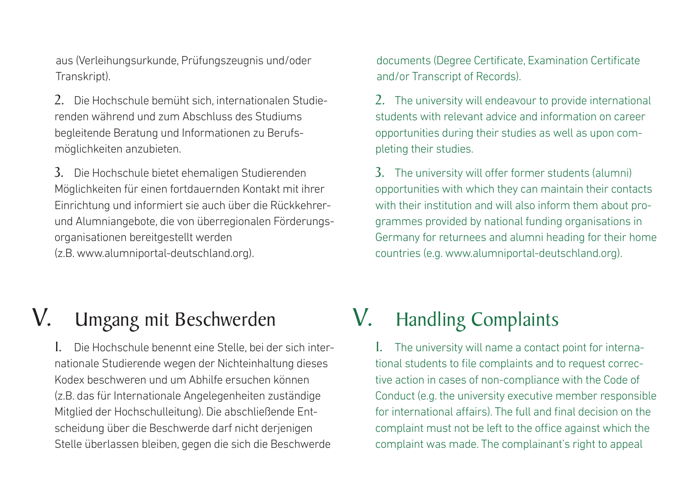aus (Verleihungsurkunde, Prüfungszeugnis und/oder Transkript).

2. Die Hochschule bemüht sich, internationalen Studierenden während und zum Abschluss des Studiums begleitende Beratung und Informationen zu Berufsmöglichkeiten anzubieten.

3. Die Hochschule bietet ehemaligen Studierenden Möglichkeiten für einen fortdauernden Kontakt mit ihrer Einrichtung und informiert sie auch über die Rückkehrerund Alumniangebote, die von überregionalen Förderungsorganisationen bereitgestellt werden (z.B. www.alumniportal-deutschland.org).

documents (Degree Certificate, Examination Certificate and/or Transcript of Records).

2. The university will endeavour to provide international students with relevant advice and information on career opportunities during their studies as well as upon completing their studies.

3. The university will offer former students (alumni) opportunities with which they can maintain their contacts with their institution and will also inform them about programmes provided by national funding organisations in Germany for returnees and alumni heading for their home countries (e.g. www.alumniportal-deutschland.org).

## V. Umgang mit Beschwerden

1. Die Hochschule benennt eine Stelle, bei der sich internationale Studierende wegen der Nichteinhaltung dieses Kodex beschweren und um Abhilfe ersuchen können (z.B. das für Internationale Angelegenheiten zuständige Mitglied der Hochschulleitung). Die abschließende Entscheidung über die Beschwerde darf nicht derjenigen Stelle überlassen bleiben, gegen die sich die Beschwerde

## V. Handling Complaints

1. The university will name a contact point for international students to file complaints and to request corrective action in cases of non-compliance with the Code of Conduct (e.g. the university executive member responsible for international affairs). The full and final decision on the complaint must not be left to the office against which the complaint was made. The complainant's right to appeal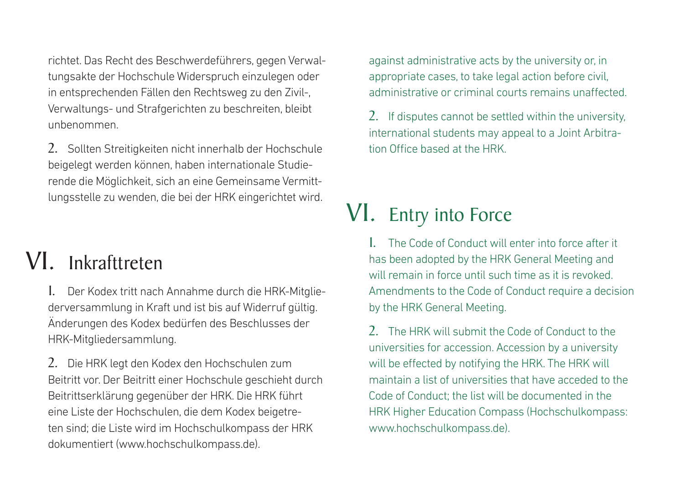richtet. Das Recht des Beschwerdeführers, gegen Verwaltungsakte der Hochschule Widerspruch einzulegen oder in entsprechenden Fällen den Rechtsweg zu den Zivil-, Verwaltungs- und Strafgerichten zu beschreiten, bleibt unbenommen.

2. Sollten Streitigkeiten nicht innerhalb der Hochschule beigelegt werden können, haben internationale Studierende die Möglichkeit, sich an eine Gemeinsame Vermittlungsstelle zu wenden, die bei der HRK eingerichtet wird.

# VI. Inkrafttreten

1. Der Kodex tritt nach Annahme durch die HRK-Mitgliederversammlung in Kraft und ist bis auf Widerruf gültig. Änderungen des Kodex bedürfen des Beschlusses der HRK-Mitgliedersammlung.

2. Die HRK legt den Kodex den Hochschulen zum Beitritt vor. Der Beitritt einer Hochschule geschieht durch Beitrittserklärung gegenüber der HRK. Die HRK führt eine Liste der Hochschulen, die dem Kodex beigetreten sind; die Liste wird im Hochschulkompass der HRK dokumentiert (www.hochschulkompass.de).

against administrative acts by the university or, in appropriate cases, to take legal action before civil, administrative or criminal courts remains unaffected.

2. If disputes cannot be settled within the university, international students may appeal to a Joint Arbitration Office based at the HRK.

# VI. Entry into Force

1. The Code of Conduct will enter into force after it has been adopted by the HRK General Meeting and will remain in force until such time as it is revoked. Amendments to the Code of Conduct require a decision by the HRK General Meeting.

2. The HRK will submit the Code of Conduct to the universities for accession. Accession by a university will be effected by notifying the HRK. The HRK will maintain a list of universities that have acceded to the Code of Conduct; the list will be documented in the HRK Higher Education Compass (Hochschulkompass: www.hochschulkompass.de).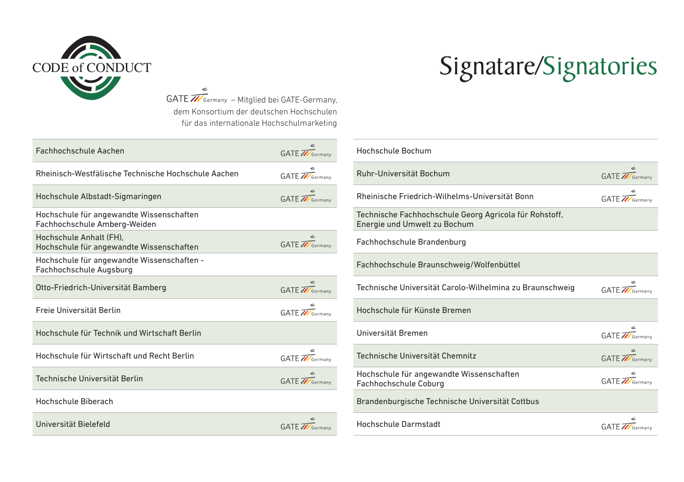

 $\epsilon$ GATE **M**Germany - Mitglied bei GATE-Germany, dem Konsortium der deutschen Hochschulen für das internationale Hochschulmarketing

| Fachhochschule Aachen                                                    | GATE <b>M</b> Germany      |
|--------------------------------------------------------------------------|----------------------------|
| Rheinisch-Westfälische Technische Hochschule Aachen                      | GATE <b>W</b> Germany      |
| Hochschule Albstadt-Sigmaringen                                          | GATE //Germany             |
| Hochschule für angewandte Wissenschaften<br>Fachhochschule Amberg-Weiden |                            |
| Hochschule Anhalt (FH).<br>Hochschule für angewandte Wissenschaften      | GATE Tremany               |
| Hochschule für angewandte Wissenschaften -<br>Fachhochschule Augsburg    |                            |
| Otto-Friedrich-Universität Bamberg                                       | c<br>GATE <b>M</b> Germany |
| Freie Universität Berlin                                                 | GATE <b>M</b> Germany      |
| Hochschule für Technik und Wirtschaft Berlin                             |                            |
| Hochschule für Wirtschaft und Recht Berlin                               | c<br>GATE <b>M</b> Germany |
| Technische Universität Berlin                                            | GATE //Germany             |
| Hochschule Biberach                                                      |                            |
| Universität Bielefeld                                                    | GATE <b>M</b> Germany      |

# CODE of CONDUCT Signatare/Signatories

| Hochschule Bochum                                                                      |                       |
|----------------------------------------------------------------------------------------|-----------------------|
| Ruhr-Universität Bochum                                                                | GATE <b>M</b> Germany |
| Rheinische Friedrich-Wilhelms-Universität Bonn                                         | GATE <b>W</b> Germany |
| Technische Fachhochschule Georg Agricola für Rohstoff,<br>Energie und Umwelt zu Bochum |                       |
| Fachhochschule Brandenburg                                                             |                       |
| Fachhochschule Braunschweig/Wolfenbüttel                                               |                       |
| Technische Universität Carolo-Wilhelmina zu Braunschweig                               | GATE <b>M</b> Germany |
| Hochschule für Künste Bremen                                                           |                       |
| Universität Bremen                                                                     | GATE <b>M</b> Germany |
| Technische Universität Chemnitz                                                        | GATE //Germany        |
| Hochschule für angewandte Wissenschaften<br>Fachhochschule Coburg                      | GATE <b>M</b> Germany |
| Brandenburgische Technische Universität Cottbus                                        |                       |
| <b>Hochschule Darmstadt</b>                                                            | GATE <b>M</b> Germany |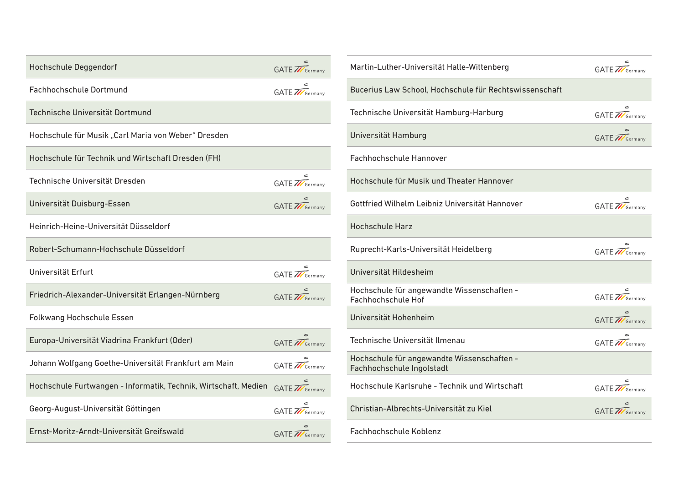| <b>Hochschule Deggendorf</b>                                    | GATE <b>W</b> Germany |
|-----------------------------------------------------------------|-----------------------|
| <b>Fachhochschule Dortmund</b>                                  | GATE <b>M</b> Germany |
| Technische Universität Dortmund                                 |                       |
| Hochschule für Musik "Carl Maria von Weber" Dresden             |                       |
| Hochschule für Technik und Wirtschaft Dresden (FH)              |                       |
| Technische Universität Dresden                                  | GATE <b>M</b> Germany |
| Universität Duisburg-Essen                                      | GATE <b>W</b> Germany |
| Heinrich-Heine-Universität Düsseldorf                           |                       |
| Robert-Schumann-Hochschule Düsseldorf                           |                       |
| Universität Erfurt                                              | GATE <b>M</b> Germany |
| Friedrich-Alexander-Universität Erlangen-Nürnberg               | GATE Tremany          |
| Folkwang Hochschule Essen                                       |                       |
| Europa-Universität Viadrina Frankfurt (Oder)                    | GATE Tremany          |
| Johann Wolfgang Goethe-Universität Frankfurt am Main            | GATE Tremany          |
| Hochschule Furtwangen - Informatik, Technik, Wirtschaft, Medien | GATE <b>M</b> Germany |
| Georg-August-Universität Göttingen                              | GATE <b>M</b> Germany |
| Ernst-Moritz-Arndt-Universität Greifswald                       | GATE <b>M</b> Germany |

| Martin-Luther-Universität Halle-Wittenberg                              | GATE <b>M</b> Germany |
|-------------------------------------------------------------------------|-----------------------|
| Bucerius Law School, Hochschule für Rechtswissenschaft                  |                       |
| Technische Universität Hamburg-Harburg                                  | GATE <b>M</b> Germany |
| Universität Hamburg                                                     | GATE <b>W</b> Germany |
| <b>Fachhochschule Hannover</b>                                          |                       |
| Hochschule für Musik und Theater Hannover                               |                       |
| Gottfried Wilhelm Leibniz Universität Hannover                          | GATE <b>M</b> Germany |
| <b>Hochschule Harz</b>                                                  |                       |
| Ruprecht-Karls-Universität Heidelberg                                   | GATE Tremany          |
| Universität Hildesheim                                                  |                       |
| Hochschule für angewandte Wissenschaften -<br>Fachhochschule Hof        | GATE <b>M</b> Germany |
| Universität Hohenheim                                                   | GATE / Germany        |
| Technische Universität Ilmenau                                          | GATE <b>M</b> Germany |
| Hochschule für angewandte Wissenschaften -<br>Fachhochschule Ingolstadt |                       |
| Hochschule Karlsruhe - Technik und Wirtschaft                           | GATE <b>M</b> Germany |
| Christian-Albrechts-Universität zu Kiel                                 | GATE //Germany        |
| Fachhochschule Koblenz                                                  |                       |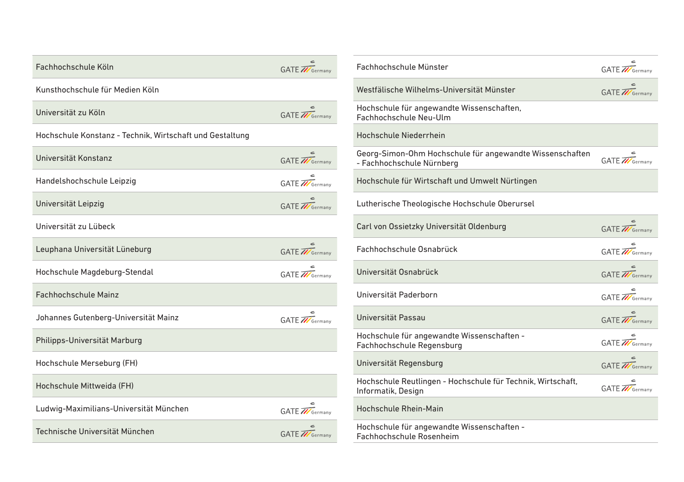| Fachhochschule Köln                                      | GATE //Germany        |
|----------------------------------------------------------|-----------------------|
| Kunsthochschule für Medien Köln                          |                       |
| Universität zu Köln                                      | GATE <b>M</b> Germany |
| Hochschule Konstanz - Technik, Wirtschaft und Gestaltung |                       |
| Universität Konstanz                                     | GATE <b>M</b> Germany |
| Handelshochschule Leipzig                                | GATE <b>M</b> Germany |
| Universität Leipzig                                      | GATE <b>W</b> Germany |
| Universität zu Lübeck                                    |                       |
| Leuphana Universität Lüneburg                            | GATE / Germany        |
| Hochschule Magdeburg-Stendal                             | GATE <b>M</b> Germany |
| Fachhochschule Mainz                                     |                       |
| Johannes Gutenberg-Universität Mainz                     | GATE Tremany          |
| Philipps-Universität Marburg                             |                       |
| Hochschule Merseburg (FH)                                |                       |
| Hochschule Mittweida (FH)                                |                       |
| Ludwig-Maximilians-Universität München                   | GATE <b>M</b> Germany |
| Technische Universität München                           | GATE //Germany        |

| Fachhochschule Münster                                                                | GATE //Germany        |
|---------------------------------------------------------------------------------------|-----------------------|
| Westfälische Wilhelms-Universität Münster                                             | GATE <b>M</b> Germany |
| Hochschule für angewandte Wissenschaften,<br>Fachhochschule Neu-Ulm                   |                       |
| Hochschule Niederrhein                                                                |                       |
| Georg-Simon-Ohm Hochschule für angewandte Wissenschaften<br>- Fachhochschule Nürnberg | GATE <b>M</b> Germany |
| Hochschule für Wirtschaft und Umwelt Nürtingen                                        |                       |
| Lutherische Theologische Hochschule Oberursel                                         |                       |
| Carl von Ossietzky Universität Oldenburg                                              | GATE <b>M</b> Germany |
| Fachhochschule Osnabrück                                                              | GATE <b>M</b> Germany |
| Universität Osnabrück                                                                 | GATE / Germany        |
| Universität Paderborn                                                                 | GATE <b>M</b> Germany |
| Universität Passau                                                                    | GATE / Germany        |
| Hochschule für angewandte Wissenschaften -<br>Fachhochschule Regensburg               | GATE <b>M</b> Germany |
| Universität Regensburg                                                                | GATE <b>M</b> Germany |
| Hochschule Reutlingen - Hochschule für Technik, Wirtschaft,<br>Informatik, Design     | GATE <b>W</b> Germany |
| Hochschule Rhein-Main                                                                 |                       |
| Hochschule für angewandte Wissenschaften -<br>Fachhochschule Rosenheim                |                       |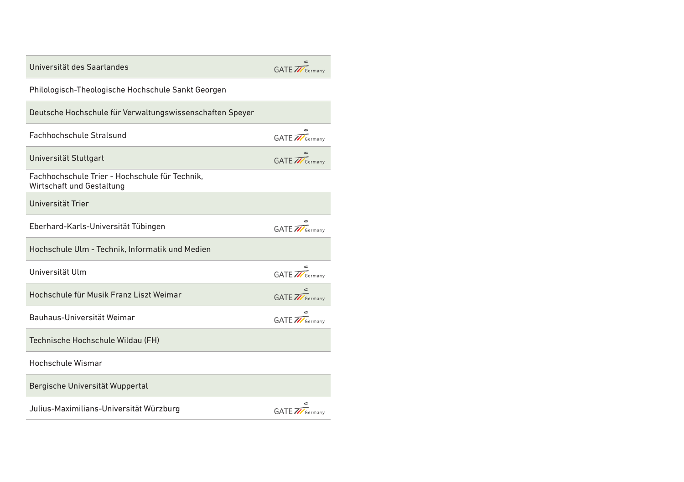| Universität des Saarlandes                                                  | GATE / Germany        |
|-----------------------------------------------------------------------------|-----------------------|
| Philologisch-Theologische Hochschule Sankt Georgen                          |                       |
| Deutsche Hochschule für Verwaltungswissenschaften Speyer                    |                       |
| Fachhochschule Stralsund                                                    | GATE <b>M</b> Germany |
| Universität Stuttgart                                                       | GATE <b>M</b> Germany |
| Fachhochschule Trier - Hochschule für Technik.<br>Wirtschaft und Gestaltung |                       |
| Universität Trier                                                           |                       |
| Eberhard-Karls-Universität Tübingen                                         | GATE Tremany          |
| Hochschule Ulm - Technik, Informatik und Medien                             |                       |
| Universität Ulm                                                             | GATE <b>M</b> Germany |
| Hochschule für Musik Franz Liszt Weimar                                     | GATE Tremany          |
| Bauhaus-Universität Weimar                                                  | GATE <b>M</b> Germany |
| Technische Hochschule Wildau (FH)                                           |                       |
| Hochschule Wismar                                                           |                       |
| Bergische Universität Wuppertal                                             |                       |
| Julius-Maximilians-Universität Würzburg                                     | GATE <b>M</b> Germany |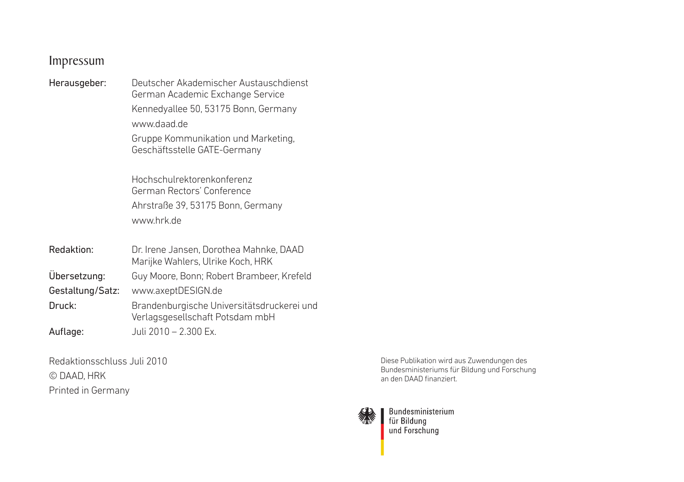#### Impressum

| Herausgeber:     | Deutscher Akademischer Austauschdienst<br>German Academic Exchange Service<br>Kennedyallee 50, 53175 Bonn, Germany<br>www.daad.de<br>Gruppe Kommunikation und Marketing,<br>Geschäftsstelle GATE-Germany<br>Hochschulrektorenkonferenz<br>German Rectors' Conference<br>Ahrstraße 39, 53175 Bonn, Germany |
|------------------|-----------------------------------------------------------------------------------------------------------------------------------------------------------------------------------------------------------------------------------------------------------------------------------------------------------|
|                  | www.hrk.de                                                                                                                                                                                                                                                                                                |
| Redaktion:       | Dr. Irene Jansen, Dorothea Mahnke, DAAD<br>Marijke Wahlers, Ulrike Koch, HRK                                                                                                                                                                                                                              |
| Ubersetzung:     | Guy Moore, Bonn; Robert Brambeer, Krefeld                                                                                                                                                                                                                                                                 |
| Gestaltung/Satz: | www.axeptDESIGN.de                                                                                                                                                                                                                                                                                        |
| Druck:           | Brandenburgische Universitätsdruckerei und<br>Verlagsgesellschaft Potsdam mbH                                                                                                                                                                                                                             |
| Auflage:         | Juli 2010 - 2.300 Ex.                                                                                                                                                                                                                                                                                     |

Redaktionsschluss Juli 2010 © DAAD, HRK Printed in Germany

Diese Publikation wird aus Zuwendungen des Bundesministeriums für Bildung und Forschung an den DAAD finanziert.



Bundesministerium<br>für Bildung<br>und Forschung